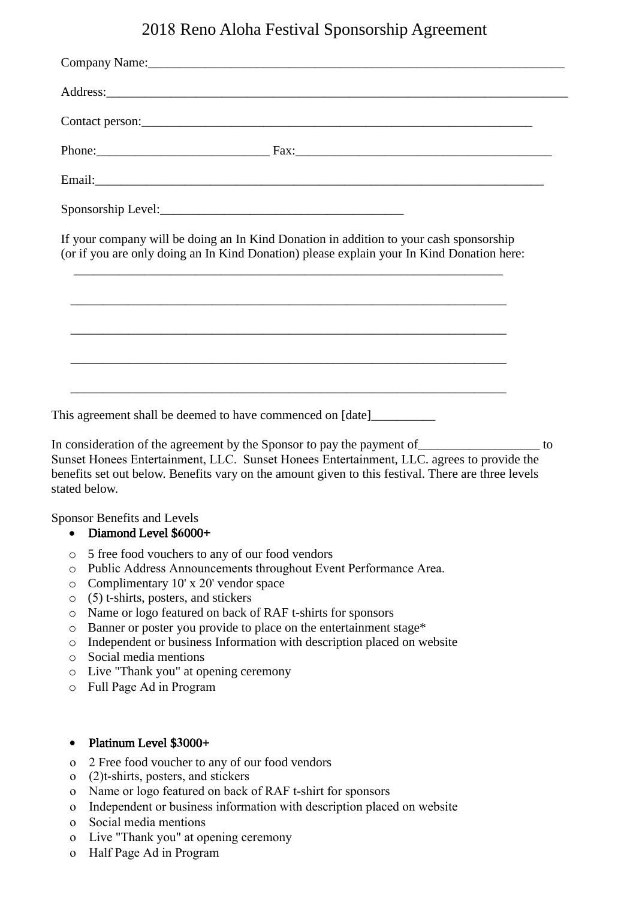# 2018 Reno Aloha Festival Sponsorship Agreement

| If your company will be doing an In Kind Donation in addition to your cash sponsorship                                |
|-----------------------------------------------------------------------------------------------------------------------|
| (or if you are only doing an In Kind Donation) please explain your In Kind Donation here:                             |
|                                                                                                                       |
| <u> 1989 - Johann Barn, amerikan berkema di sebagai berkema di sebagai berkema di sebagai berkema di sebagai berk</u> |

Sunset Honees Entertainment, LLC. Sunset Honees Entertainment, LLC. agrees to provide the benefits set out below. Benefits vary on the amount given to this festival. There are three levels stated below.

Sponsor Benefits and Levels

#### • Diamond Level \$**6**000+

- o 5 free food vouchers to any of our food vendors
- o Public Address Announcements throughout Event Performance Area.
- o Complimentary 10' x 20' vendor space
- o (5) t-shirts, posters, and stickers
- o Name or logo featured on back of RAF t-shirts for sponsors
- o Banner or poster you provide to place on the entertainment stage\*
- o Independent or business Information with description placed on website
- o Social media mentions
- o Live "Thank you" at opening ceremony
- o Full Page Ad in Program

## • Platinum Level \$**3**000+

- o 2 Free food voucher to any of our food vendors
- o (2)t-shirts, posters, and stickers
- o Name or logo featured on back of RAF t-shirt for sponsors
- o Independent or business information with description placed on website
- o Social media mentions
- o Live "Thank you" at opening ceremony
- o Half Page Ad in Program